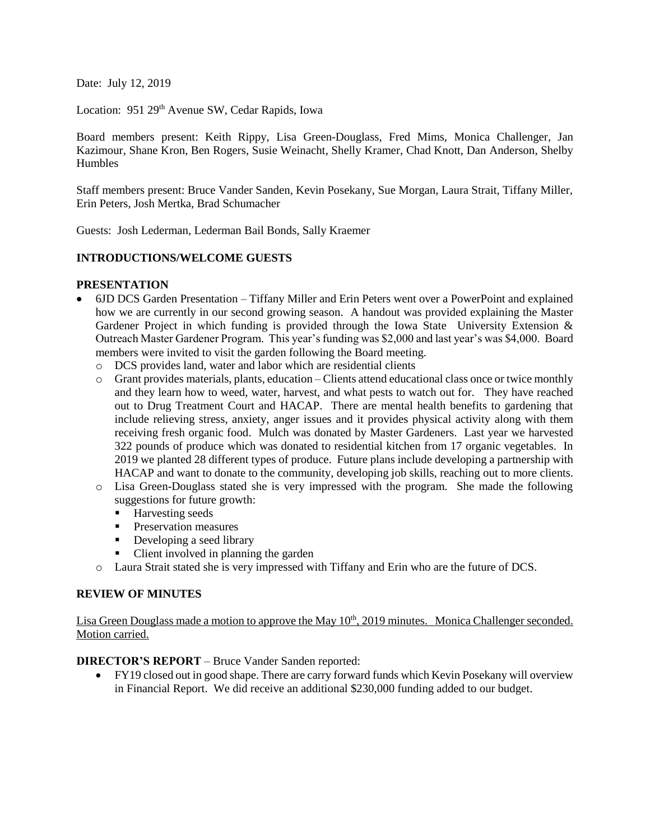Date: July 12, 2019

Location: 951 29<sup>th</sup> Avenue SW, Cedar Rapids, Iowa

Board members present: Keith Rippy, Lisa Green-Douglass, Fred Mims, Monica Challenger, Jan Kazimour, Shane Kron, Ben Rogers, Susie Weinacht, Shelly Kramer, Chad Knott, Dan Anderson, Shelby Humbles

Staff members present: Bruce Vander Sanden, Kevin Posekany, Sue Morgan, Laura Strait, Tiffany Miller, Erin Peters, Josh Mertka, Brad Schumacher

Guests: Josh Lederman, Lederman Bail Bonds, Sally Kraemer

# **INTRODUCTIONS/WELCOME GUESTS**

#### **PRESENTATION**

- 6JD DCS Garden Presentation Tiffany Miller and Erin Peters went over a PowerPoint and explained how we are currently in our second growing season. A handout was provided explaining the Master Gardener Project in which funding is provided through the Iowa State University Extension & Outreach Master Gardener Program. This year's funding was \$2,000 and last year's was \$4,000. Board members were invited to visit the garden following the Board meeting.
	- o DCS provides land, water and labor which are residential clients
	- o Grant provides materials, plants, education Clients attend educational class once or twice monthly and they learn how to weed, water, harvest, and what pests to watch out for. They have reached out to Drug Treatment Court and HACAP. There are mental health benefits to gardening that include relieving stress, anxiety, anger issues and it provides physical activity along with them receiving fresh organic food. Mulch was donated by Master Gardeners. Last year we harvested 322 pounds of produce which was donated to residential kitchen from 17 organic vegetables. In 2019 we planted 28 different types of produce. Future plans include developing a partnership with HACAP and want to donate to the community, developing job skills, reaching out to more clients.
	- o Lisa Green-Douglass stated she is very impressed with the program. She made the following suggestions for future growth:
		- Harvesting seeds
		- **Preservation measures**
		- Developing a seed library
		- Client involved in planning the garden
	- o Laura Strait stated she is very impressed with Tiffany and Erin who are the future of DCS.

# **REVIEW OF MINUTES**

Lisa Green Douglass made a motion to approve the May 10<sup>th</sup>, 2019 minutes. Monica Challenger seconded. Motion carried.

**DIRECTOR'S REPORT** – Bruce Vander Sanden reported:

 FY19 closed out in good shape. There are carry forward funds which Kevin Posekany will overview in Financial Report. We did receive an additional \$230,000 funding added to our budget.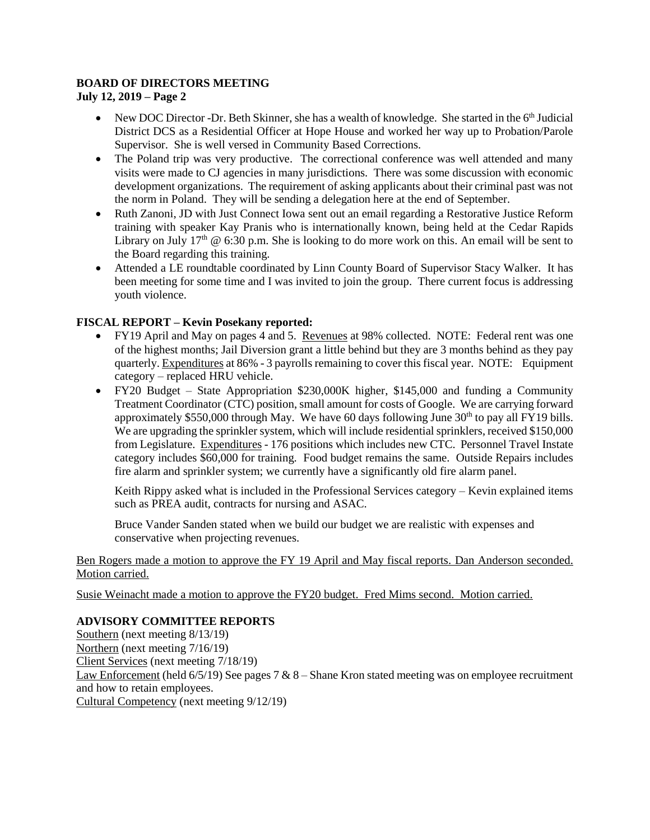# **BOARD OF DIRECTORS MEETING**

**July 12, 2019 – Page 2**

- New DOC Director -Dr. Beth Skinner, she has a wealth of knowledge. She started in the  $6<sup>th</sup>$  Judicial District DCS as a Residential Officer at Hope House and worked her way up to Probation/Parole Supervisor. She is well versed in Community Based Corrections.
- The Poland trip was very productive. The correctional conference was well attended and many visits were made to CJ agencies in many jurisdictions. There was some discussion with economic development organizations. The requirement of asking applicants about their criminal past was not the norm in Poland. They will be sending a delegation here at the end of September.
- Ruth Zanoni, JD with Just Connect Iowa sent out an email regarding a Restorative Justice Reform training with speaker Kay Pranis who is internationally known, being held at the Cedar Rapids Library on July 17<sup>th</sup>  $\omega$  6:30 p.m. She is looking to do more work on this. An email will be sent to the Board regarding this training.
- Attended a LE roundtable coordinated by Linn County Board of Supervisor Stacy Walker. It has been meeting for some time and I was invited to join the group. There current focus is addressing youth violence.

# **FISCAL REPORT – Kevin Posekany reported:**

- FY19 April and May on pages 4 and 5. Revenues at 98% collected. NOTE: Federal rent was one of the highest months; Jail Diversion grant a little behind but they are 3 months behind as they pay quarterly. Expenditures at 86% - 3 payrolls remaining to cover this fiscal year. NOTE: Equipment category – replaced HRU vehicle.
- FY20 Budget State Appropriation \$230,000K higher, \$145,000 and funding a Community Treatment Coordinator (CTC) position, small amount for costs of Google. We are carrying forward approximately \$550,000 through May. We have 60 days following June  $30<sup>th</sup>$  to pay all FY19 bills. We are upgrading the sprinkler system, which will include residential sprinklers, received \$150,000 from Legislature. Expenditures - 176 positions which includes new CTC. Personnel Travel Instate category includes \$60,000 for training. Food budget remains the same. Outside Repairs includes fire alarm and sprinkler system; we currently have a significantly old fire alarm panel.

Keith Rippy asked what is included in the Professional Services category – Kevin explained items such as PREA audit, contracts for nursing and ASAC.

Bruce Vander Sanden stated when we build our budget we are realistic with expenses and conservative when projecting revenues.

# Ben Rogers made a motion to approve the FY 19 April and May fiscal reports. Dan Anderson seconded. Motion carried.

Susie Weinacht made a motion to approve the FY20 budget. Fred Mims second. Motion carried.

# **ADVISORY COMMITTEE REPORTS**

Southern (next meeting 8/13/19) Northern (next meeting 7/16/19) Client Services (next meeting 7/18/19) Law Enforcement (held  $6/5/19$ ) See pages 7 & 8 – Shane Kron stated meeting was on employee recruitment and how to retain employees. Cultural Competency (next meeting 9/12/19)